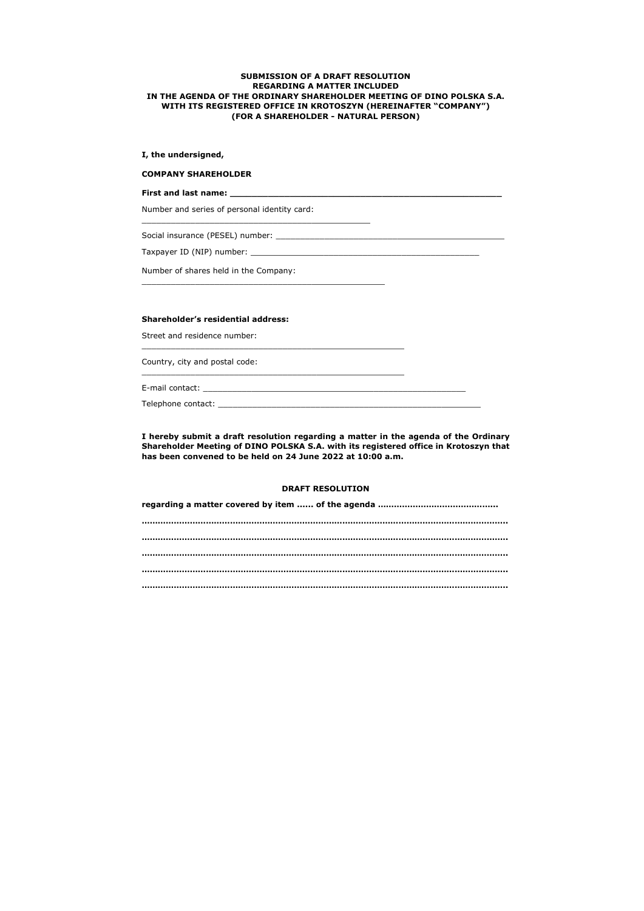# **SUBMISSION OF A DRAFT RESOLUTION REGARDING A MATTER INCLUDED IN THE AGENDA OF THE ORDINARY SHAREHOLDER MEETING OF DINO POLSKA S.A. WITH ITS REGISTERED OFFICE IN KROTOSZYN (HEREINAFTER "COMPANY") (FOR A SHAREHOLDER - NATURAL PERSON)**

## **I, the undersigned,**

#### **COMPANY SHAREHOLDER**

**First and last name: \_\_\_\_\_\_\_\_\_\_\_\_\_\_\_\_\_\_\_\_\_\_\_\_\_\_\_\_\_\_\_\_\_\_\_\_\_\_\_\_\_\_\_\_\_\_\_\_\_\_**

Number and series of personal identity card:

\_\_\_\_\_\_\_\_\_\_\_\_\_\_\_\_\_\_\_\_\_\_\_\_\_\_\_\_\_\_\_\_\_\_\_\_\_\_\_\_\_\_\_\_\_\_\_

Social insurance (PESEL) number: \_\_\_\_\_\_\_\_\_\_\_\_\_\_\_\_\_\_\_\_\_\_\_\_\_\_\_\_\_\_\_\_\_\_\_\_\_\_\_\_\_\_\_\_\_\_\_

Taxpayer ID (NIP) number: \_\_\_\_\_\_\_\_\_\_\_\_\_\_\_\_\_\_\_\_\_\_\_\_\_\_\_\_\_\_\_\_\_\_\_\_\_\_\_\_\_\_\_\_\_\_\_

Number of shares held in the Company:

\_\_\_\_\_\_\_\_\_\_\_\_\_\_\_\_\_\_\_\_\_\_\_\_\_\_\_\_\_\_\_\_\_\_\_\_\_\_\_\_\_\_\_\_\_\_\_\_\_\_

# **Shareholder's residential address:**

Street and residence number:

\_\_\_\_\_\_\_\_\_\_\_\_\_\_\_\_\_\_\_\_\_\_\_\_\_\_\_\_\_\_\_\_\_\_\_\_\_\_\_\_\_\_\_\_\_\_\_\_\_\_\_\_\_\_

Country, city and postal code:

\_\_\_\_\_\_\_\_\_\_\_\_\_\_\_\_\_\_\_\_\_\_\_\_\_\_\_\_\_\_\_\_\_\_\_\_\_\_\_\_\_\_\_\_\_\_\_\_\_\_\_\_\_\_

E-mail contact: \_\_\_\_\_\_\_\_\_\_\_\_\_\_\_\_\_\_\_\_\_\_\_\_\_\_\_\_\_\_\_\_\_\_\_\_\_\_\_\_\_\_\_\_\_\_\_\_\_\_\_\_\_\_

Telephone contact: \_\_\_\_\_\_\_\_\_\_\_\_\_\_\_\_\_\_\_\_\_\_\_\_\_\_\_\_\_\_\_\_\_\_\_\_\_\_\_\_\_\_\_\_\_\_\_\_\_\_\_\_\_\_

**I hereby submit a draft resolution regarding a matter in the agenda of the Ordinary Shareholder Meeting of DINO POLSKA S.A. with its registered office in Krotoszyn that has been convened to be held on 24 June 2022 at 10:00 a.m.**

### **DRAFT RESOLUTION**